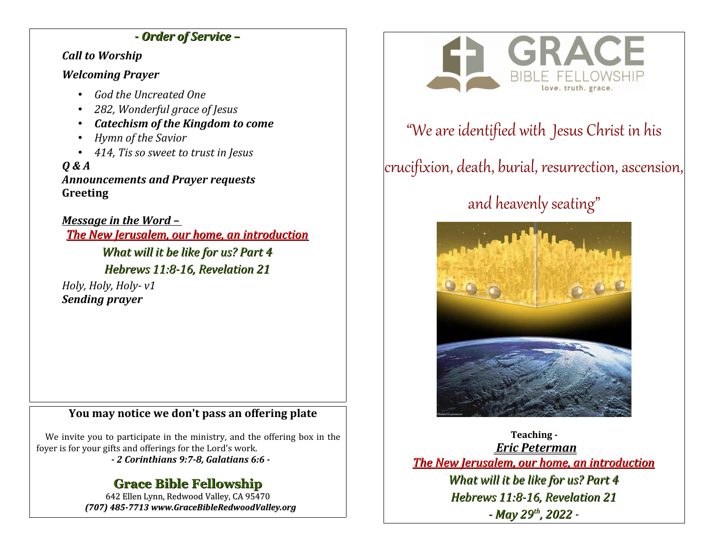### *- Order of Service –*

*Call to Worship*

### *Welcoming Prayer*

- *God the Uncreated One*
- *282, Wonderful grace of Jesus*
- *Catechism of the Kingdom to come*
- *Hymn of the Savior*
- *414, Tis so sweet to trust in Jesus*

*Q & A Announcements and Prayer requests* **Greeting**

*Message in the Word – The New Jerusalem, our home, an introduction What will it be like for us? Part 4 Hebrews 11:8-16, Revelation 21*

*Holy, Holy, Holy- v1 Sending prayer*

### **You may notice we don't pass an offering plate**

We invite you to participate in the ministry, and the offering box in the foyer is for your gifts and offerings for the Lord's work.

*- 2 Corinthians 9:7-8, Galatians 6:6 -*

## **Grace Bible Fellowship**

642 Ellen Lynn, Redwood Valley, CA 95470 *(707) 485-7713 www.GraceBibleRedwoodValley.org*



## "We are identified with Jesus Christ in his

# crucifixion, death, burial, resurrection, ascension,

# and heavenly seating"



**Teaching -**  *Eric Peterman The New Jerusalem, our home, an introduction What will it be like for us? Part 4 Hebrews 11:8-16, Revelation 21 - May 29th, 2022 -*